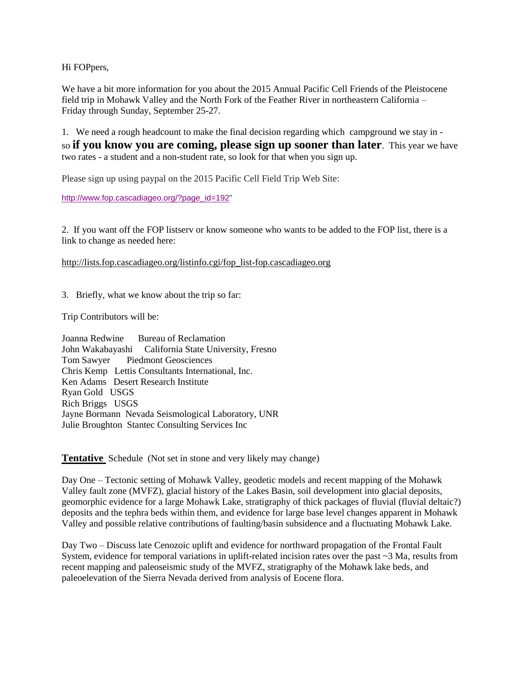Hi FOPpers,

We have a bit more information for you about the 2015 Annual Pacific Cell Friends of the Pleistocene field trip in Mohawk Valley and the North Fork of the Feather River in northeastern California – Friday through Sunday, September 25-27.

1. We need a rough headcount to make the final decision regarding which campground we stay in so **if you know you are coming, please sign up sooner than later**. This year we have two rates - a student and a non-student rate, so look for that when you sign up.

Please sign up using paypal on the 2015 Pacific Cell Field Trip Web Site:

[http://www.fop.cascadiageo.org/?page\\_id=192"](http://www.fop.cascadiageo.org/?page_id=192)

2. If you want off the FOP listserv or know someone who wants to be added to the FOP list, there is a link to change as needed here:

[http://lists.fop.cascadiageo.org/listinfo.cgi/fop\\_list-fop.cascadiageo.org](http://lists.fop.cascadiageo.org/listinfo.cgi/fop_list-fop.cascadiageo.org)

3. Briefly, what we know about the trip so far:

Trip Contributors will be:

Joanna Redwine Bureau of Reclamation John Wakabayashi California State University, Fresno Tom Sawyer Piedmont Geosciences Chris Kemp Lettis Consultants [International,](https://www.linkedin.com/vsearch/p?company=Lettis+Consultants+International%2C+Inc%2E&trk=prof-exp-company-name) Inc. Ken Adams Desert Research Institute Ryan Gold USGS Rich Briggs USGS Jayne Bormann Nevada Seismological Laboratory, UNR Julie Broughton Stantec Consulting Services Inc

**Tentative** Schedule (Not set in stone and very likely may change)

Day One – Tectonic setting of Mohawk Valley, geodetic models and recent mapping of the Mohawk Valley fault zone (MVFZ), glacial history of the Lakes Basin, soil development into glacial deposits, geomorphic evidence for a large Mohawk Lake, stratigraphy of thick packages of fluvial (fluvial deltaic?) deposits and the tephra beds within them, and evidence for large base level changes apparent in Mohawk Valley and possible relative contributions of faulting/basin subsidence and a fluctuating Mohawk Lake.

Day Two – Discuss late Cenozoic uplift and evidence for northward propagation of the Frontal Fault System, evidence for temporal variations in uplift-related incision rates over the past ~3 Ma, results from recent mapping and paleoseismic study of the MVFZ, stratigraphy of the Mohawk lake beds, and paleoelevation of the Sierra Nevada derived from analysis of Eocene flora.